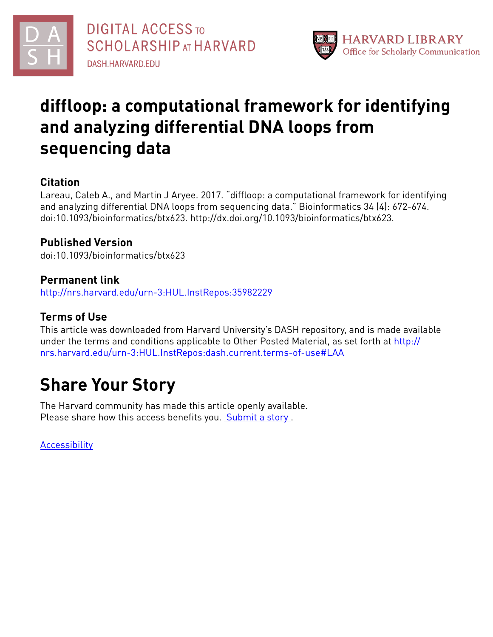



## **diffloop: a computational framework for identifying and analyzing differential DNA loops from sequencing data**

## **Citation**

Lareau, Caleb A., and Martin J Aryee. 2017. "diffloop: a computational framework for identifying and analyzing differential DNA loops from sequencing data." Bioinformatics 34 (4): 672-674. doi:10.1093/bioinformatics/btx623. http://dx.doi.org/10.1093/bioinformatics/btx623.

## **Published Version**

doi:10.1093/bioinformatics/btx623

### **Permanent link**

<http://nrs.harvard.edu/urn-3:HUL.InstRepos:35982229>

## **Terms of Use**

This article was downloaded from Harvard University's DASH repository, and is made available under the terms and conditions applicable to Other Posted Material, as set forth at [http://](http://nrs.harvard.edu/urn-3:HUL.InstRepos:dash.current.terms-of-use#LAA) [nrs.harvard.edu/urn-3:HUL.InstRepos:dash.current.terms-of-use#LAA](http://nrs.harvard.edu/urn-3:HUL.InstRepos:dash.current.terms-of-use#LAA)

# **Share Your Story**

The Harvard community has made this article openly available. Please share how this access benefits you. [Submit](http://osc.hul.harvard.edu/dash/open-access-feedback?handle=&title=diffloop:%20a%20computational%20framework%20for%20identifying%20and%20analyzing%20differential%20DNA%20loops%20from%20sequencing%20data&community=1/1&collection=1/2&owningCollection1/2&harvardAuthors=6a1caed20e9dd35b9178ae084467e399&department) a story.

[Accessibility](https://dash.harvard.edu/pages/accessibility)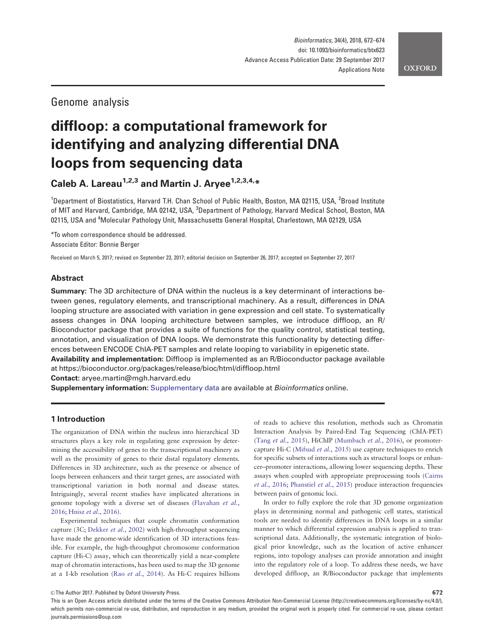### Genome analysis

## diffloop: a computational framework for identifying and analyzing differential DNA loops from sequencing data

Caleb A. Lareau<sup>1,2,3</sup> and Martin J. Aryee<sup>1,2,3,4,\*</sup>

<sup>1</sup>Department of Biostatistics, Harvard T.H. Chan School of Public Health, Boston, MA 02115, USA, <sup>2</sup>Broad Institute of MIT and Harvard, Cambridge, MA 02142, USA, <sup>3</sup>Department of Pathology, Harvard Medical School, Boston, MA 02115, USA and <sup>4</sup>Molecular Pathology Unit, Massachusetts General Hospital, Charlestown, MA 02129, USA

\*To whom correspondence should be addressed. Associate Editor: Bonnie Berger

Received on March 5, 2017; revised on September 23, 2017; editorial decision on September 26, 2017; accepted on September 27, 2017

#### Abstract

Summary: The 3D architecture of DNA within the nucleus is a key determinant of interactions between genes, regulatory elements, and transcriptional machinery. As a result, differences in DNA looping structure are associated with variation in gene expression and cell state. To systematically assess changes in DNA looping architecture between samples, we introduce diffloop, an R/ Bioconductor package that provides a suite of functions for the quality control, statistical testing, annotation, and visualization of DNA loops. We demonstrate this functionality by detecting differences between ENCODE ChIA-PET samples and relate looping to variability in epigenetic state. Availability and implementation: Diffloop is implemented as an R/Bioconductor package available

at<https://bioconductor.org/packages/release/bioc/html/diffloop.html>

Contact: aryee.martin@mgh.harvard.edu

**Supplementary information:** [Supplementary data](https://academic.oup.com/bioinformatics/article-lookup/doi/10.1093/bioinformatics/btx623#supplementary-data) are available at *Bioinformatics* online.

#### 1 Introduction

The organization of DNA within the nucleus into hierarchical 3D structures plays a key role in regulating gene expression by determining the accessibility of genes to the transcriptional machinery as well as the proximity of genes to their distal regulatory elements. Differences in 3D architecture, such as the presence or absence of loops between enhancers and their target genes, are associated with transcriptional variation in both normal and disease states. Intriguingly, several recent studies have implicated alterations in genome topology with a diverse set of diseases ([Flavahan](#page-2-0) et al., [2016;](#page-2-0) Hnisz et al.[, 2016](#page-3-0)).

Experimental techniques that couple chromatin conformation capture (3C; [Dekker](#page-2-0) et al., 2002) with high-throughput sequencing have made the genome-wide identification of 3D interactions feasible. For example, the high-throughput chromosome conformation capture (Hi-C) assay, which can theoretically yield a near-complete map of chromatin interactions, has been used to map the 3D genome at a 1-kb resolution (Rao et al.[, 2014\)](#page-3-0). As Hi-C requires billions

of reads to achieve this resolution, methods such as Chromatin Interaction Analysis by Paired-End Tag Sequencing (ChIA-PET) (Tang et al.[, 2015\)](#page-3-0), HiChIP ([Mumbach](#page-3-0) et al., 2016), or promotercapture Hi-C ([Mifsud](#page-3-0) et al., 2015) use capture techniques to enrich for specific subsets of interactions such as structural loops or enhancer–promoter interactions, allowing lower sequencing depths. These assays when coupled with appropriate preprocessing tools ([Cairns](#page-2-0) et al.[, 2016](#page-2-0); [Phanstiel](#page-3-0) et al., 2015) produce interaction frequencies between pairs of genomic loci.

In order to fully explore the role that 3D genome organization plays in determining normal and pathogenic cell states, statistical tools are needed to identify differences in DNA loops in a similar manner to which differential expression analysis is applied to transcriptional data. Additionally, the systematic integration of biological prior knowledge, such as the location of active enhancer regions, into topology analyses can provide annotation and insight into the regulatory role of a loop. To address these needs, we have developed diffloop, an R/Bioconductor package that implements

 $\odot$  The Author 2017. Published by Oxford University Press. 672

This is an Open Access article distributed under the terms of the Creative Commons Attribution Non-Commercial License (http://creativecommons.org/licenses/by-nc/4.0/), which permits non-commercial re-use, distribution, and reproduction in any medium, provided the original work is properly cited. For commercial re-use, please contact journals.permissions@oup.com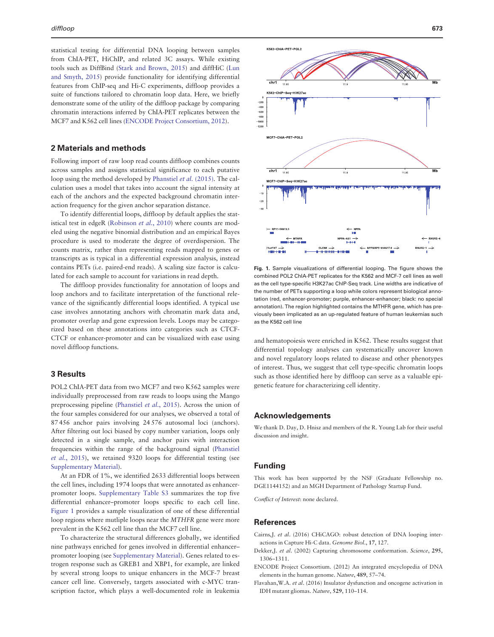<span id="page-2-0"></span>statistical testing for differential DNA looping between samples from ChIA-PET, HiChIP, and related 3C assays. While existing tools such as DiffBind ([Stark and Brown, 2015\)](#page-3-0) and diffHiC [\(Lun](#page-3-0) [and Smyth, 2015\)](#page-3-0) provide functionality for identifying differential features from ChIP-seq and Hi-C experiments, diffloop provides a suite of functions tailored to chromatin loop data. Here, we briefly demonstrate some of the utility of the diffloop package by comparing chromatin interactions inferred by ChIA-PET replicates between the MCF7 and K562 cell lines (ENCODE Project Consortium, 2012).

#### 2 Materials and methods

Following import of raw loop read counts diffloop combines counts across samples and assigns statistical significance to each putative loop using the method developed by [Phanstiel](#page-3-0) et al. (2015). The calculation uses a model that takes into account the signal intensity at each of the anchors and the expected background chromatin interaction frequency for the given anchor separation distance.

To identify differential loops, diffloop by default applies the stat-istical test in edgeR [\(Robinson](#page-3-0) et al., 2010) where counts are modeled using the negative binomial distribution and an empirical Bayes procedure is used to moderate the degree of overdispersion. The counts matrix, rather than representing reads mapped to genes or transcripts as is typical in a differential expression analysis, instead contains PETs (i.e. paired-end reads). A scaling size factor is calculated for each sample to account for variations in read depth.

The diffloop provides functionality for annotation of loops and loop anchors and to facilitate interpretation of the functional relevance of the significantly differential loops identified. A typical use case involves annotating anchors with chromatin mark data and, promoter overlap and gene expression levels. Loops may be categorized based on these annotations into categories such as CTCF-CTCF or enhancer-promoter and can be visualized with ease using novel diffloop functions.

#### 3 Results

POL2 ChIA-PET data from two MCF7 and two K562 samples were individually preprocessed from raw reads to loops using the Mango preprocessing pipeline ([Phanstiel](#page-3-0) et al., 2015). Across the union of the four samples considered for our analyses, we observed a total of 87 456 anchor pairs involving 24 576 autosomal loci (anchors). After filtering out loci biased by copy number variation, loops only detected in a single sample, and anchor pairs with interaction frequencies within the range of the background signal [\(Phanstiel](#page-3-0) et al.[, 2015](#page-3-0)), we retained 9320 loops for differential testing (see [Supplementary Material](https://academic.oup.com/bioinformatics/article-lookup/doi/10.1093/bioinformatics/btx623#supplementary-data)).

At an FDR of 1%, we identified 2633 differential loops between the cell lines, including 1974 loops that were annotated as enhancerpromoter loops. [Supplementary Table S3](https://academic.oup.com/bioinformatics/article-lookup/doi/10.1093/bioinformatics/btx623#supplementary-data) summarizes the top five differential enhancer–promoter loops specific to each cell line. Figure 1 provides a sample visualization of one of these differential loop regions where mutliple loops near the MTHFR gene were more prevalent in the K562 cell line than the MCF7 cell line.

To characterize the structural differences globally, we identified nine pathways enriched for genes involved in differential enhancer– promoter looping (see [Supplementary Material](https://academic.oup.com/bioinformatics/article-lookup/doi/10.1093/bioinformatics/btx623#supplementary-data)). Genes related to estrogen response such as GREB1 and XBP1, for example, are linked by several strong loops to unique enhancers in the MCF-7 breast cancer cell line. Conversely, targets associated with c-MYC transcription factor, which plays a well-documented role in leukemia



Fig. 1. Sample visualizations of differential looping. The figure shows the combined POL2 ChIA-PET replicates for the K562 and MCF-7 cell lines as well as the cell type-specific H3K27ac ChIP-Seq track. Line widths are indicative of the number of PETs supporting a loop while colors represent biological annotation (red, enhancer-promoter; purple, enhancer-enhancer; black: no special annotation). The region highlighted contains the MTHFR gene, which has previously been implicated as an up-regulated feature of human leukemias such as the K562 cell line

and hematopoiesis were enriched in K562. These results suggest that differential topology analyses can systematically uncover known and novel regulatory loops related to disease and other phenotypes of interest. Thus, we suggest that cell type-specific chromatin loops such as those identified here by diffloop can serve as a valuable epigenetic feature for characterizing cell identity.

#### Acknowledgements

We thank D. Day, D. Hnisz and members of the R. Young Lab for their useful discussion and insight.

#### Funding

This work has been supported by the NSF (Graduate Fellowship no. DGE1144152) and an MGH Department of Pathology Startup Fund.

Conflict of Interest: none declared.

#### References

- Cairns,J. et al. (2016) CHiCAGO: robust detection of DNA looping interactions in Capture Hi-C data. Genome Biol., 17, 127.
- Dekker,J. et al. (2002) Capturing chromosome conformation. Science, 295, 1306–1311.
- ENCODE Project Consortium. (2012) An integrated encyclopedia of DNA elements in the human genome. Nature, 489, 57–74.
- Flavahan,W.A. et al. (2016) Insulator dysfunction and oncogene activation in IDH mutant gliomas. Nature, 529, 110–114.